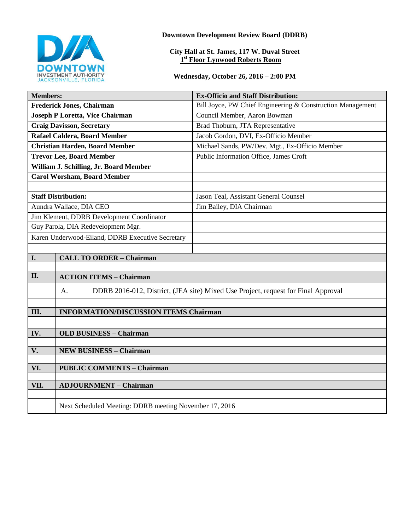

**Downtown Development Review Board (DDRB)**

#### **City Hall at St. James, 117 W. Duval Street 1 st Floor Lynwood Roberts Room**

### **Wednesday, October 26, 2016 – 2:00 PM**

| <b>Members:</b>                                  |                                                                                         | <b>Ex-Officio and Staff Distribution:</b>                  |
|--------------------------------------------------|-----------------------------------------------------------------------------------------|------------------------------------------------------------|
| <b>Frederick Jones, Chairman</b>                 |                                                                                         | Bill Joyce, PW Chief Engineering & Construction Management |
| <b>Joseph P Loretta, Vice Chairman</b>           |                                                                                         | Council Member, Aaron Bowman                               |
| <b>Craig Davisson, Secretary</b>                 |                                                                                         | Brad Thoburn, JTA Representative                           |
| Rafael Caldera, Board Member                     |                                                                                         | Jacob Gordon, DVI, Ex-Officio Member                       |
| <b>Christian Harden, Board Member</b>            |                                                                                         | Michael Sands, PW/Dev. Mgt., Ex-Officio Member             |
| <b>Trevor Lee, Board Member</b>                  |                                                                                         | Public Information Office, James Croft                     |
| William J. Schilling, Jr. Board Member           |                                                                                         |                                                            |
| <b>Carol Worsham, Board Member</b>               |                                                                                         |                                                            |
|                                                  |                                                                                         |                                                            |
| <b>Staff Distribution:</b>                       |                                                                                         | Jason Teal, Assistant General Counsel                      |
| Aundra Wallace, DIA CEO                          |                                                                                         | Jim Bailey, DIA Chairman                                   |
| Jim Klement, DDRB Development Coordinator        |                                                                                         |                                                            |
| Guy Parola, DIA Redevelopment Mgr.               |                                                                                         |                                                            |
| Karen Underwood-Eiland, DDRB Executive Secretary |                                                                                         |                                                            |
|                                                  |                                                                                         |                                                            |
| I.                                               | <b>CALL TO ORDER - Chairman</b>                                                         |                                                            |
|                                                  |                                                                                         |                                                            |
| II.                                              | <b>ACTION ITEMS - Chairman</b>                                                          |                                                            |
|                                                  | DDRB 2016-012, District, (JEA site) Mixed Use Project, request for Final Approval<br>A. |                                                            |
|                                                  |                                                                                         |                                                            |
| Ш.                                               | <b>INFORMATION/DISCUSSION ITEMS Chairman</b>                                            |                                                            |
|                                                  |                                                                                         |                                                            |
| IV.                                              | <b>OLD BUSINESS - Chairman</b>                                                          |                                                            |
|                                                  |                                                                                         |                                                            |
| V.                                               | <b>NEW BUSINESS - Chairman</b>                                                          |                                                            |
| VI.                                              | <b>PUBLIC COMMENTS - Chairman</b>                                                       |                                                            |
|                                                  |                                                                                         |                                                            |
| VII.                                             | <b>ADJOURNMENT - Chairman</b>                                                           |                                                            |
|                                                  |                                                                                         |                                                            |
|                                                  | Next Scheduled Meeting: DDRB meeting November 17, 2016                                  |                                                            |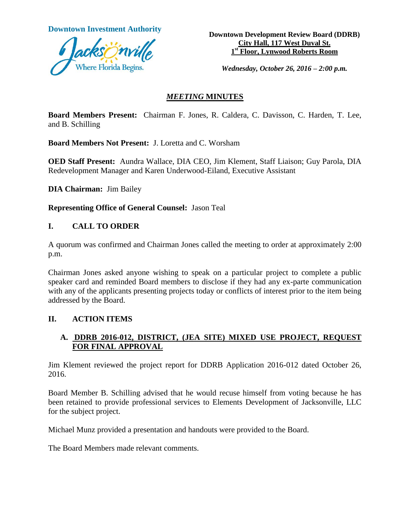**Downtown Investment Authority** 



**Downtown Development Review Board (DDRB) City Hall, 117 West Duval St. 1 st Floor, Lynwood Roberts Room**

*Wednesday, October 26, 2016 – 2:00 p.m.*

### *MEETING* **MINUTES**

**Board Members Present:** Chairman F. Jones, R. Caldera, C. Davisson, C. Harden, T. Lee, and B. Schilling

**Board Members Not Present:** J. Loretta and C. Worsham

**OED Staff Present:** Aundra Wallace, DIA CEO, Jim Klement, Staff Liaison; Guy Parola, DIA Redevelopment Manager and Karen Underwood-Eiland, Executive Assistant

**DIA Chairman:** Jim Bailey

**Representing Office of General Counsel:** Jason Teal

### **I. CALL TO ORDER**

A quorum was confirmed and Chairman Jones called the meeting to order at approximately 2:00 p.m.

Chairman Jones asked anyone wishing to speak on a particular project to complete a public speaker card and reminded Board members to disclose if they had any ex-parte communication with any of the applicants presenting projects today or conflicts of interest prior to the item being addressed by the Board.

#### **II. ACTION ITEMS**

# **A. DDRB 2016-012, DISTRICT, (JEA SITE) MIXED USE PROJECT, REQUEST FOR FINAL APPROVAL**

Jim Klement reviewed the project report for DDRB Application 2016-012 dated October 26, 2016.

Board Member B. Schilling advised that he would recuse himself from voting because he has been retained to provide professional services to Elements Development of Jacksonville, LLC for the subject project.

Michael Munz provided a presentation and handouts were provided to the Board.

The Board Members made relevant comments.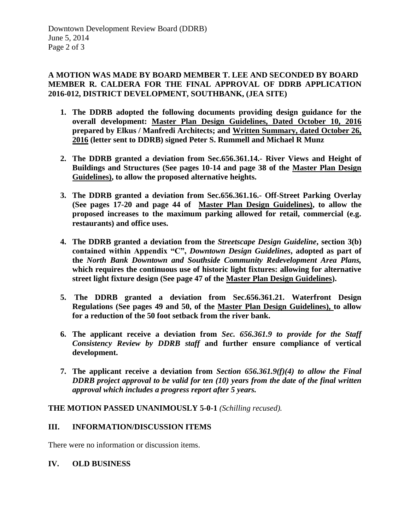# **A MOTION WAS MADE BY BOARD MEMBER T. LEE AND SECONDED BY BOARD MEMBER R. CALDERA FOR THE FINAL APPROVAL OF DDRB APPLICATION 2016-012, DISTRICT DEVELOPMENT, SOUTHBANK, (JEA SITE)**

- **1. The DDRB adopted the following documents providing design guidance for the overall development: Master Plan Design Guidelines, Dated October 10, 2016 prepared by Elkus / Manfredi Architects; and Written Summary, dated October 26, 2016 (letter sent to DDRB) signed Peter S. Rummell and Michael R Munz**
- **2. The DDRB granted a deviation from Sec.656.361.14.- River Views and Height of Buildings and Structures (See pages 10-14 and page 38 of the Master Plan Design Guidelines), to allow the proposed alternative heights.**
- **3. The DDRB granted a deviation from Sec.656.361.16.- Off-Street Parking Overlay (See pages 17-20 and page 44 of Master Plan Design Guidelines), to allow the proposed increases to the maximum parking allowed for retail, commercial (e.g. restaurants) and office uses.**
- **4. The DDRB granted a deviation from the** *Streetscape Design Guideline***, section 3(b) contained within Appendix "C",** *Downtown Design Guidelines***, adopted as part of the** *North Bank Downtown and Southside Community Redevelopment Area Plans,* **which requires the continuous use of historic light fixtures: allowing for alternative street light fixture design (See page 47 of the Master Plan Design Guidelines).**
- **5. The DDRB granted a deviation from Sec.656.361.21. Waterfront Design Regulations (See pages 49 and 50, of the Master Plan Design Guidelines), to allow for a reduction of the 50 foot setback from the river bank.**
- **6. The applicant receive a deviation from** *Sec. 656.361.9 to provide for the Staff Consistency Review by DDRB staff* **and further ensure compliance of vertical development.**
- **7. The applicant receive a deviation from** *Section 656.361.9(f)(4) to allow the Final DDRB project approval to be valid for ten (10) years from the date of the final written approval which includes a progress report after 5 years.*

# **THE MOTION PASSED UNANIMOUSLY 5-0-1** *(Schilling recused).*

# **III. INFORMATION/DISCUSSION ITEMS**

There were no information or discussion items.

#### **IV. OLD BUSINESS**